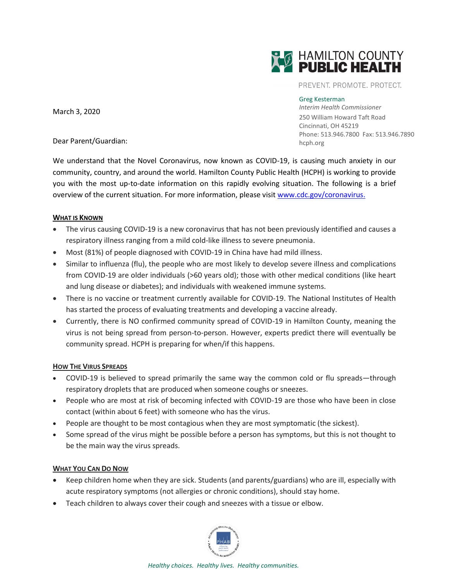

PREVENT. PROMOTE. PROTECT.

## Greg Kesterman

*Interim Health Commissioner* 250 William Howard Taft Road Cincinnati, OH 45219 Phone: 513.946.7800 Fax: 513.946.7890 hcph.org

March 3, 2020

Dear Parent/Guardian:

We understand that the Novel Coronavirus, now known as COVID-19, is causing much anxiety in our community, country, and around the world. Hamilton County Public Health (HCPH) is working to provide you with the most up-to-date information on this rapidly evolving situation. The following is a brief overview of the current situation. For more information, please visit [www.cdc.gov/coronavirus.](http://www.cdc.gov/coronavirus)

## **WHAT IS KNOWN**

- The virus causing COVID-19 is a new coronavirus that has not been previously identified and causes a respiratory illness ranging from a mild cold-like illness to severe pneumonia.
- Most (81%) of people diagnosed with COVID-19 in China have had mild illness.
- Similar to influenza (flu), the people who are most likely to develop severe illness and complications from COVID-19 are older individuals (>60 years old); those with other medical conditions (like heart and lung disease or diabetes); and individuals with weakened immune systems.
- There is no vaccine or treatment currently available for COVID-19. The National Institutes of Health has started the process of evaluating treatments and developing a vaccine already.
- Currently, there is NO confirmed community spread of COVID-19 in Hamilton County, meaning the virus is not being spread from person-to-person. However, experts predict there will eventually be community spread. HCPH is preparing for when/if this happens.

## **HOW THE VIRUS SPREADS**

- COVID-19 is believed to spread primarily the same way the common cold or flu spreads—through respiratory droplets that are produced when someone coughs or sneezes.
- People who are most at risk of becoming infected with COVID-19 are those who have been in close contact (within about 6 feet) with someone who has the virus.
- People are thought to be most contagious when they are most symptomatic (the sickest).
- Some spread of the virus might be possible before a person has symptoms, but this is not thought to be the main way the virus spreads.

## **WHAT YOU CAN DO NOW**

- Keep children home when they are sick. Students (and parents/guardians) who are ill, especially with acute respiratory symptoms (not allergies or chronic conditions), should stay home.
- Teach children to always cover their cough and sneezes with a tissue or elbow.